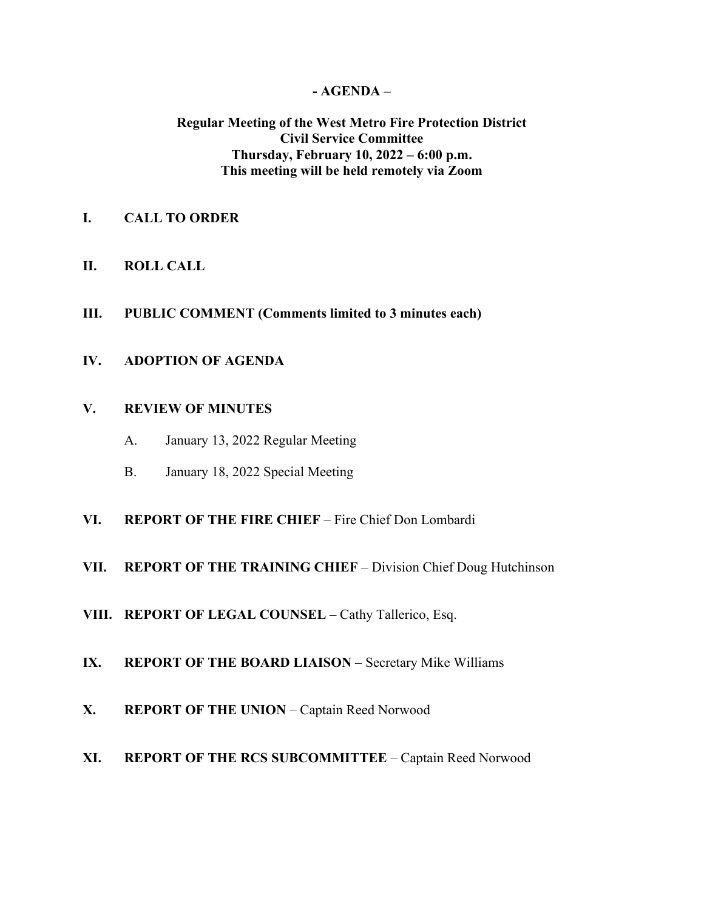#### **- AGENDA –**

## **Regular Meeting of the West Metro Fire Protection District Civil Service Committee Thursday, February 10, 2022 – 6:00 p.m. This meeting will be held remotely via Zoom**

- **I. CALL TO ORDER**
- **II. ROLL CALL**
- **III. PUBLIC COMMENT (Comments limited to 3 minutes each)**
- **IV. ADOPTION OF AGENDA**

#### **V. REVIEW OF MINUTES**

- A. January 13, 2022 Regular Meeting
- B. January 18, 2022 Special Meeting
- **VI. REPORT OF THE FIRE CHIEF**  Fire Chief Don Lombardi
- **VII. REPORT OF THE TRAINING CHIEF** Division Chief Doug Hutchinson
- **VIII. REPORT OF LEGAL COUNSEL** Cathy Tallerico, Esq.
- **IX. REPORT OF THE BOARD LIAISON** Secretary Mike Williams
- **X. REPORT OF THE UNION** Captain Reed Norwood
- **XI. REPORT OF THE RCS SUBCOMMITTEE** Captain Reed Norwood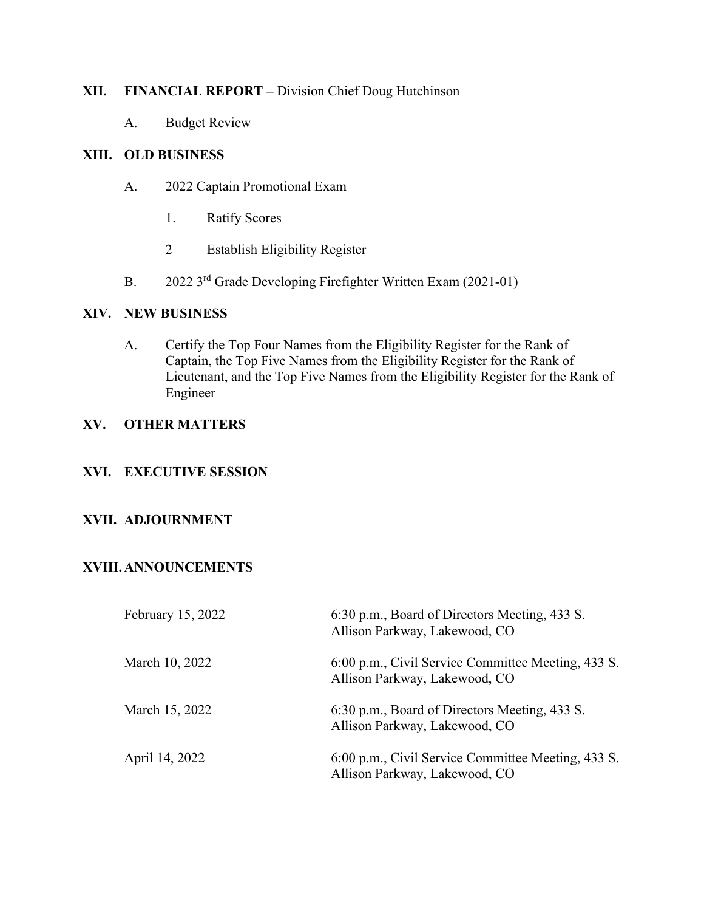## **XII. FINANCIAL REPORT –** Division Chief Doug Hutchinson

A. Budget Review

## **XIII. OLD BUSINESS**

- A. 2022 Captain Promotional Exam
	- 1. Ratify Scores
	- 2 Establish Eligibility Register
- B. 2022 3<sup>rd</sup> Grade Developing Firefighter Written Exam (2021-01)

## **XIV. NEW BUSINESS**

A. Certify the Top Four Names from the Eligibility Register for the Rank of Captain, the Top Five Names from the Eligibility Register for the Rank of Lieutenant, and the Top Five Names from the Eligibility Register for the Rank of Engineer

# **XV. OTHER MATTERS**

## **XVI. EXECUTIVE SESSION**

## **XVII. ADJOURNMENT**

## **XVIII.ANNOUNCEMENTS**

| February 15, 2022 | 6:30 p.m., Board of Directors Meeting, 433 S.<br>Allison Parkway, Lakewood, CO      |
|-------------------|-------------------------------------------------------------------------------------|
| March 10, 2022    | 6:00 p.m., Civil Service Committee Meeting, 433 S.<br>Allison Parkway, Lakewood, CO |
| March 15, 2022    | 6:30 p.m., Board of Directors Meeting, 433 S.<br>Allison Parkway, Lakewood, CO      |
| April 14, 2022    | 6:00 p.m., Civil Service Committee Meeting, 433 S.<br>Allison Parkway, Lakewood, CO |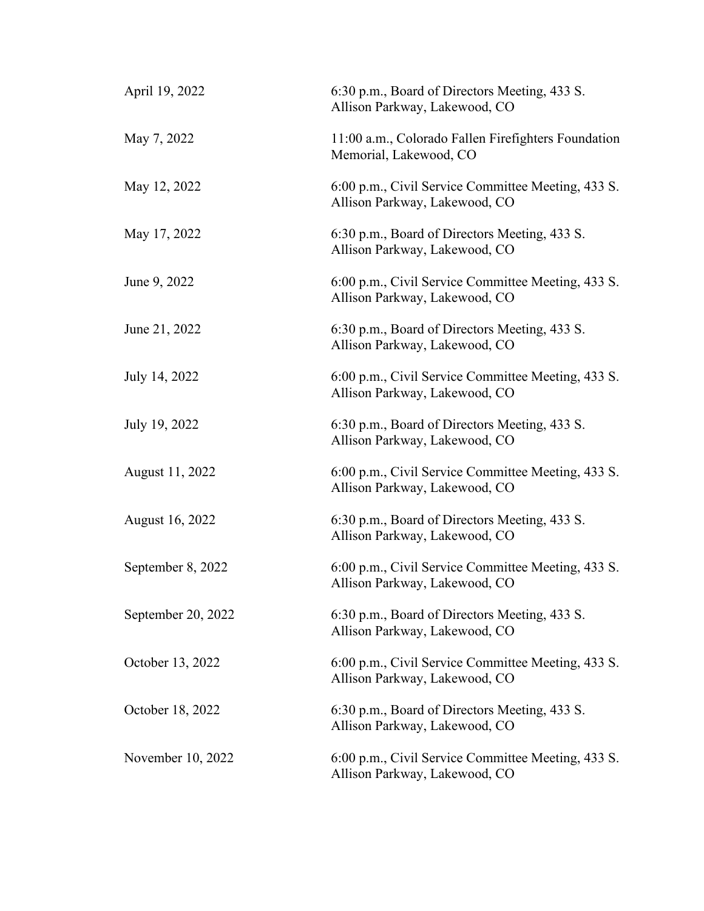| April 19, 2022     | 6:30 p.m., Board of Directors Meeting, 433 S.<br>Allison Parkway, Lakewood, CO      |
|--------------------|-------------------------------------------------------------------------------------|
| May 7, 2022        | 11:00 a.m., Colorado Fallen Firefighters Foundation<br>Memorial, Lakewood, CO       |
| May 12, 2022       | 6:00 p.m., Civil Service Committee Meeting, 433 S.<br>Allison Parkway, Lakewood, CO |
| May 17, 2022       | 6:30 p.m., Board of Directors Meeting, 433 S.<br>Allison Parkway, Lakewood, CO      |
| June 9, 2022       | 6:00 p.m., Civil Service Committee Meeting, 433 S.<br>Allison Parkway, Lakewood, CO |
| June 21, 2022      | 6:30 p.m., Board of Directors Meeting, 433 S.<br>Allison Parkway, Lakewood, CO      |
| July 14, 2022      | 6:00 p.m., Civil Service Committee Meeting, 433 S.<br>Allison Parkway, Lakewood, CO |
| July 19, 2022      | 6:30 p.m., Board of Directors Meeting, 433 S.<br>Allison Parkway, Lakewood, CO      |
| August 11, 2022    | 6:00 p.m., Civil Service Committee Meeting, 433 S.<br>Allison Parkway, Lakewood, CO |
| August 16, 2022    | 6:30 p.m., Board of Directors Meeting, 433 S.<br>Allison Parkway, Lakewood, CO      |
| September 8, 2022  | 6:00 p.m., Civil Service Committee Meeting, 433 S.<br>Allison Parkway, Lakewood, CO |
| September 20, 2022 | 6:30 p.m., Board of Directors Meeting, 433 S.<br>Allison Parkway, Lakewood, CO      |
| October 13, 2022   | 6:00 p.m., Civil Service Committee Meeting, 433 S.<br>Allison Parkway, Lakewood, CO |
| October 18, 2022   | 6:30 p.m., Board of Directors Meeting, 433 S.<br>Allison Parkway, Lakewood, CO      |
| November 10, 2022  | 6:00 p.m., Civil Service Committee Meeting, 433 S.<br>Allison Parkway, Lakewood, CO |
|                    |                                                                                     |